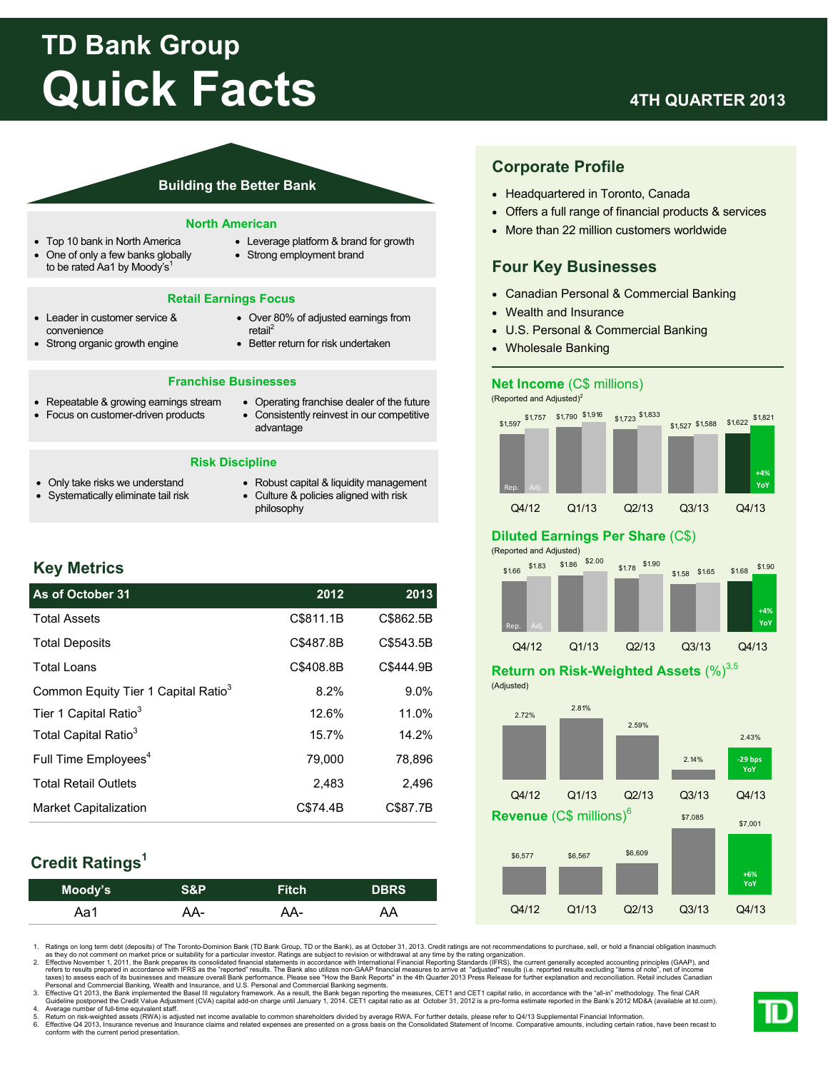# **TD Bank Group Quick Facts**

# **4TH QUARTER 2013**

#### **Building the Better Bank**

#### **North American**

- Top 10 bank in North America
- One of only a few banks globally to be rated Aa1 by Moody's<sup>1</sup>
- Leverage platform & brand for growth
- Strong employment brand

#### **Retail Earnings Focus**

- Leader in customer service & convenience
- Strong organic growth engine
- Over 80% of adjusted earnings from retail<sup>2</sup>
- Better return for risk undertaken

#### **Franchise Businesses**

- Repeatable & growing earnings stream
- Focus on customer-driven products
- Operating franchise dealer of the future Consistently reinvest in our competitive

#### **Risk Discipline**

advantage

- Only take risks we understand Systematically eliminate tail risk
- Robust capital & liquidity management Culture & policies aligned with risk
- philosophy

# **Key Metrics**

| As of October 31                                | 2012      | 2013      |
|-------------------------------------------------|-----------|-----------|
| <b>Total Assets</b>                             | C\$811.1B | C\$862.5B |
| <b>Total Deposits</b>                           | C\$487.8B | C\$543.5B |
| <b>Total Loans</b>                              | C\$408.8B | C\$444.9B |
| Common Equity Tier 1 Capital Ratio <sup>3</sup> | 8.2%      | 9.0%      |
| Tier 1 Capital Ratio <sup>3</sup>               | 12.6%     | 11.0%     |
| Total Capital Ratio <sup>3</sup>                | 15.7%     | 14.2%     |
| Full Time Employees <sup>4</sup>                | 79.000    | 78.896    |
| <b>Total Retail Outlets</b>                     | 2.483     | 2.496     |
| <b>Market Capitalization</b>                    | C\$74.4B  | C\$87.7B  |

# **Credit Ratings1**

| Moody's | S&P | <b>Fitch</b> | <b>DBRS</b> |
|---------|-----|--------------|-------------|
| Aa1     | AA- | AA-          | AA          |

1. Ratings on long term debt (deposits) of The Toronto-Dominion Bank (TD Bank Group, TD or the Bank), as at October 31, 2013. Credit ratings are not recommendations to purchase, sell, or hold a financial obligation inasmuch

as they do not comment on market price or suitability for a particular investor. Ratings are subject to revision or withdrawal at any time by the rating organization. Refective November 1, 2011, the Bank prepares its conso

3. Effective Q1 2013, the Bank implemented the Basel III regulatory framework. As a result, the Bank began reporting the measures, CET1 and CET1 capital ratio, in accordance with the "all-in" methodology. The final CAR<br>Gui

5. Return on risk-weighted assets (RWA) is adjusted net income available to common shareholders divided by average RWA. For further details, please refer to Q4/13 Supplemental Financial Information.<br>6. Effective Q4 2013, I

# **Corporate Profile**

- Headquartered in Toronto, Canada
- Offers a full range of financial products & services
- More than 22 million customers worldwide

# **Four Key Businesses**

- Canadian Personal & Commercial Banking
- Wealth and Insurance
- U.S. Personal & Commercial Banking
- Wholesale Banking

#### **Net Income** (C\$ millions)

(Reported and Adjusted)<sup>2</sup>



### **Diluted Earnings Per Share** (C\$)



## **Return on Risk-Weighted Assets (%)**3,5